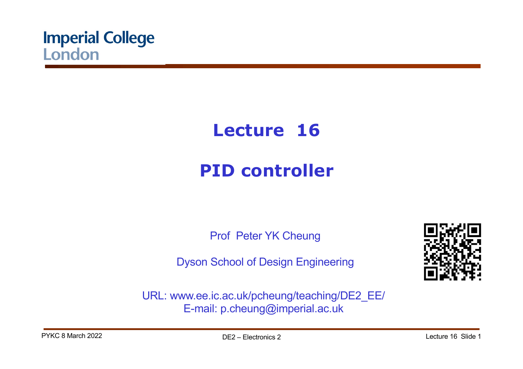

# **Lecture 16**

### **PID controller**

Prof Peter YK Cheung

Dyson School of Design Engineering



URL: www.ee.ic.ac.uk/pcheung/teaching/DE2\_EE/ E-mail: p.cheung@imperial.ac.uk

PYKC 8 March 2022 **DE2** – Flectronics 2 **DE2** – Electronics 2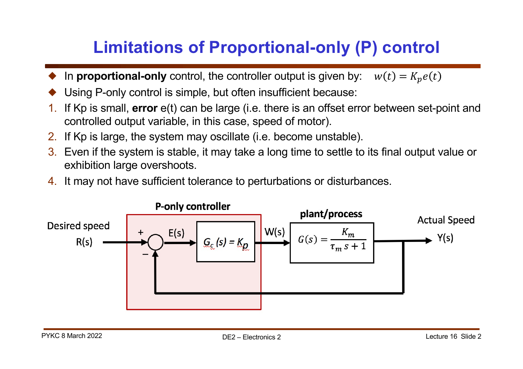### **Limitations of Proportional-only (P) control**

- In **proportional-only** control, the controller output is given by:  $w(t) = K_n e(t)$
- Using P-only control is simple, but often insufficient because:
- 1. If Kp is small, **error** e(t) can be large (i.e. there is an offset error between set-point and controlled output variable, in this case, speed of motor).
- 2. If Kp is large, the system may oscillate (i.e. become unstable).
- 3. Even if the system is stable, it may take a long time to settle to its final output value or exhibition large overshoots.
- 4. It may not have sufficient tolerance to perturbations or disturbances.

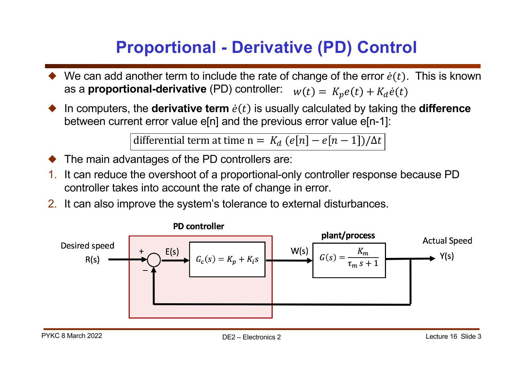### **Proportional - Derivative (PD) Control**

- We can add another term to include the rate of change of the error  $\dot{e}(t)$ . This is known as a **proportional-derivative** (PD) controller:  $w(t) = K_p e(t) + K_d \dot{e}(t)$
- In computers, the **derivative term**  $\dot{e}(t)$  is usually calculated by taking the **difference** between current error value e[n] and the previous error value e[n-1]:

differential term at time n =  $K_d$  ( $e[n] - e[n-1]/\Delta t$ 

- ! The main advantages of the PD controllers are:
- 1. It can reduce the overshoot of a proportional-only controller response because PD controller takes into account the rate of change in error.
- 2. It can also improve the system's tolerance to external disturbances.

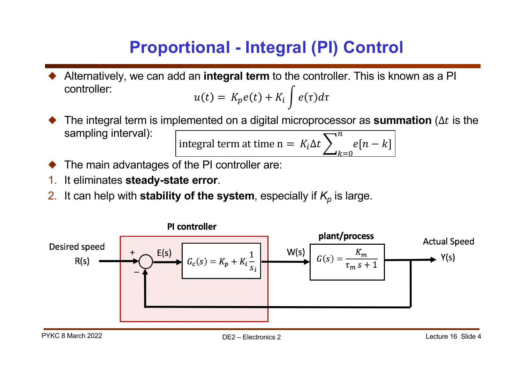## **Proportional - Integral (PI) Control**

! Alternatively, we can add an **integral term** to the controller. This is known as a PI controller:

$$
u(t) = K_p e(t) + K_i \int e(\tau) d\tau
$$

- The integral term is implemented on a digital microprocessor as **summation** ( $\Delta t$  is the sampling interval): integral term at time n =  $K_i \Delta t$  $\pmb{n}$  $e[n - k]$
- ! The main advantages of the PI controller are:
- 1. It eliminates **steady-state error**.
- 2. It can help with **stability of the system**, especially if  $K_p$  is large.

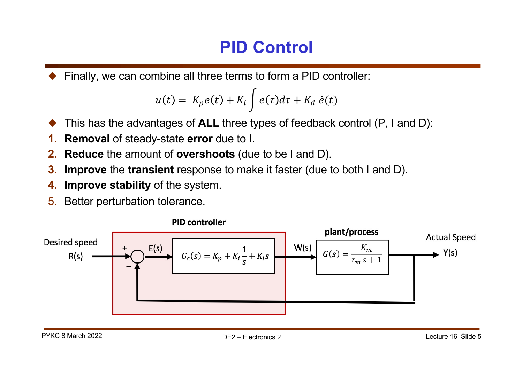## **PID Control**

! Finally, we can combine all three terms to form a PID controller:

$$
u(t) = K_p e(t) + K_i \int e(\tau) d\tau + K_d \dot{e}(t)
$$

- ! This has the advantages of **ALL** three types of feedback control (P, I and D):
- **1. Removal** of steady-state **error** due to I.
- **2. Reduce** the amount of **overshoots** (due to be I and D).
- **3. Improve** the **transient** response to make it faster (due to both I and D).
- **4. Improve stability** of the system.
- 5. Better perturbation tolerance.

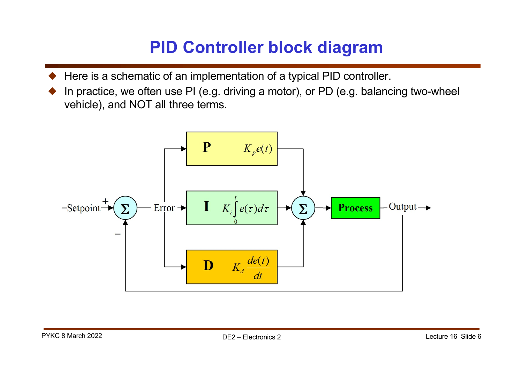### **PID Controller block diagram**

- ! Here is a schematic of an implementation of a typical PID controller.
- In practice, we often use PI (e.g. driving a motor), or PD (e.g. balancing two-wheel vehicle), and NOT all three terms.

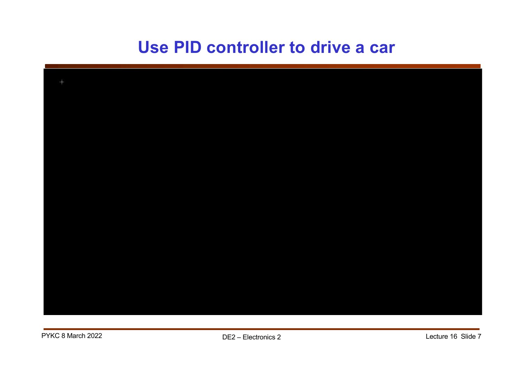#### **Use PID controller to drive a car**

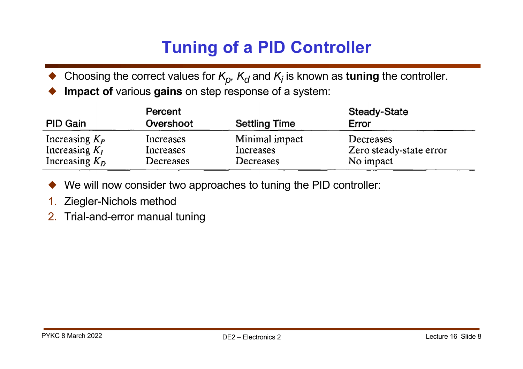### **Tuning of a PID Controller**

- Choosing the correct values for  $K_p$ ,  $K_d$  and  $K_i$  is known as **tuning** the controller.
- ! **Impact of** various **gains** on step response of a system:

| PID Gain         | Percent<br>Overshoot | <b>Settling Time</b> | Steady-State<br>Error   |  |
|------------------|----------------------|----------------------|-------------------------|--|
| Increasing $K_P$ | Increases            | Minimal impact       | Decreases               |  |
| Increasing $K_I$ | Increases            | Increases            | Zero steady-state error |  |
| Increasing $K_D$ | Decreases            | <b>Decreases</b>     | No impact               |  |

- We will now consider two approaches to tuning the PID controller:
- 1. Ziegler-Nichols method
- 2. Trial-and-error manual tuning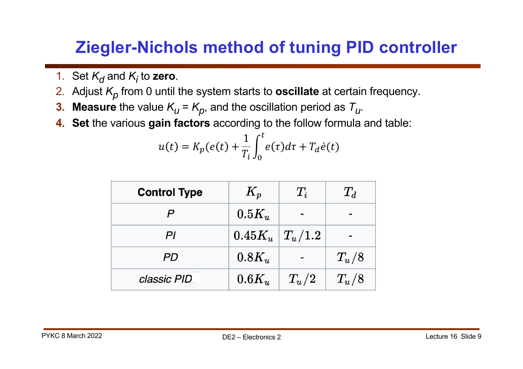### **Ziegler-Nichols method of tuning PID controller**

- 1. Set  $K_d$  and  $K_i$  to **zero**.
- 2. Adjust  $K_p$  from 0 until the system starts to **oscillate** at certain frequency.
- **3. Measure** the value  $K_u = K_p$ , and the oscillation period as  $T_u$ .
- **4. Set** the various **gain factors** according to the follow formula and table:

$$
u(t) = K_p(e(t) + \frac{1}{T_i} \int_0^t e(\tau) d\tau + T_d \dot{e}(t)
$$

| <b>Control Type</b> | $K_p$                  | $T_i$   | $T_d$   |
|---------------------|------------------------|---------|---------|
|                     | $0.5K_u$               |         |         |
| Ρl                  | $0.45K_u \mid T_u/1.2$ |         |         |
| <b>PD</b>           | $0.8K_u$               |         | $T_u/8$ |
| classic PID         | $0.6K_u$               | $T_u/2$ | $T_u/8$ |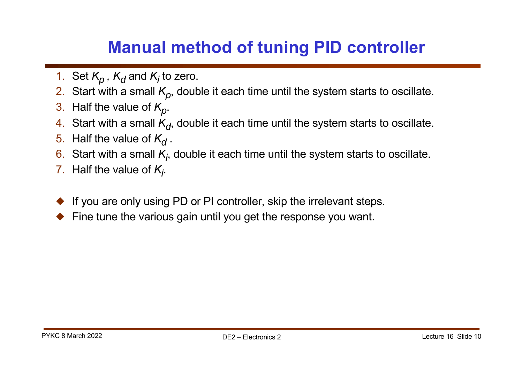### **Manual method of tuning PID controller**

- 1. Set  $K_p$ ,  $K_d$  and  $K_i$  to zero.
- 2. Start with a small  $K_p$ , double it each time until the system starts to oscillate.
- 3. Half the value of  $K_p$ .
- 4. Start with a small  $K_d$ , double it each time until the system starts to oscillate.
- 5. Half the value of  $K_d$ .
- $6.$  Start with a small  $K_i$ , double it each time until the system starts to oscillate.
- 7. Half the value of  $K_i$ .
- If you are only using PD or PI controller, skip the irrelevant steps.
- ! Fine tune the various gain until you get the response you want.